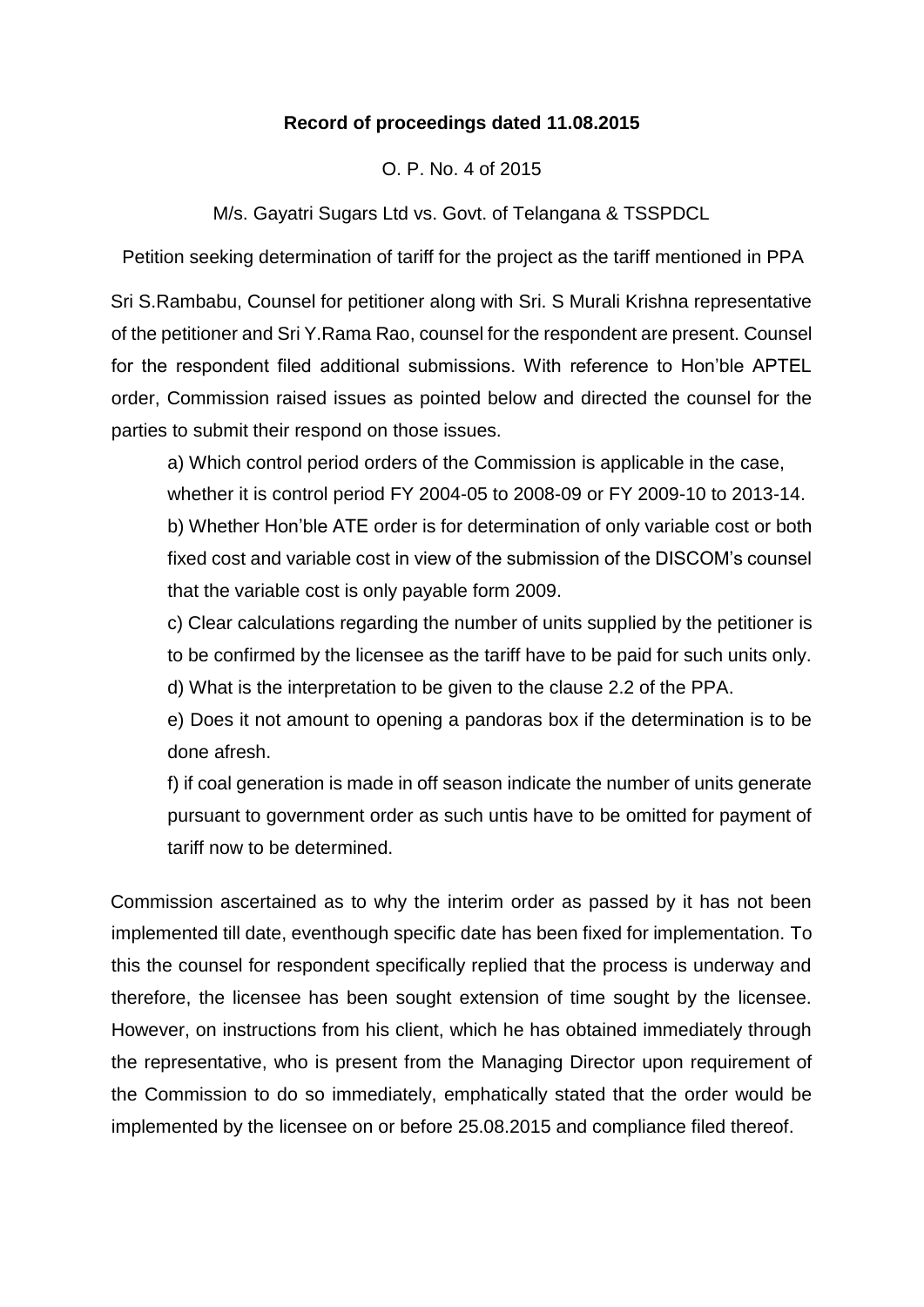## **Record of proceedings dated 11.08.2015**

O. P. No. 4 of 2015

M/s. Gayatri Sugars Ltd vs. Govt. of Telangana & TSSPDCL

Petition seeking determination of tariff for the project as the tariff mentioned in PPA

Sri S.Rambabu, Counsel for petitioner along with Sri. S Murali Krishna representative of the petitioner and Sri Y.Rama Rao, counsel for the respondent are present. Counsel for the respondent filed additional submissions. With reference to Hon'ble APTEL order, Commission raised issues as pointed below and directed the counsel for the parties to submit their respond on those issues.

a) Which control period orders of the Commission is applicable in the case, whether it is control period FY 2004-05 to 2008-09 or FY 2009-10 to 2013-14. b) Whether Hon'ble ATE order is for determination of only variable cost or both fixed cost and variable cost in view of the submission of the DISCOM's counsel that the variable cost is only payable form 2009.

c) Clear calculations regarding the number of units supplied by the petitioner is to be confirmed by the licensee as the tariff have to be paid for such units only. d) What is the interpretation to be given to the clause 2.2 of the PPA.

e) Does it not amount to opening a pandoras box if the determination is to be done afresh.

f) if coal generation is made in off season indicate the number of units generate pursuant to government order as such untis have to be omitted for payment of tariff now to be determined.

Commission ascertained as to why the interim order as passed by it has not been implemented till date, eventhough specific date has been fixed for implementation. To this the counsel for respondent specifically replied that the process is underway and therefore, the licensee has been sought extension of time sought by the licensee. However, on instructions from his client, which he has obtained immediately through the representative, who is present from the Managing Director upon requirement of the Commission to do so immediately, emphatically stated that the order would be implemented by the licensee on or before 25.08.2015 and compliance filed thereof.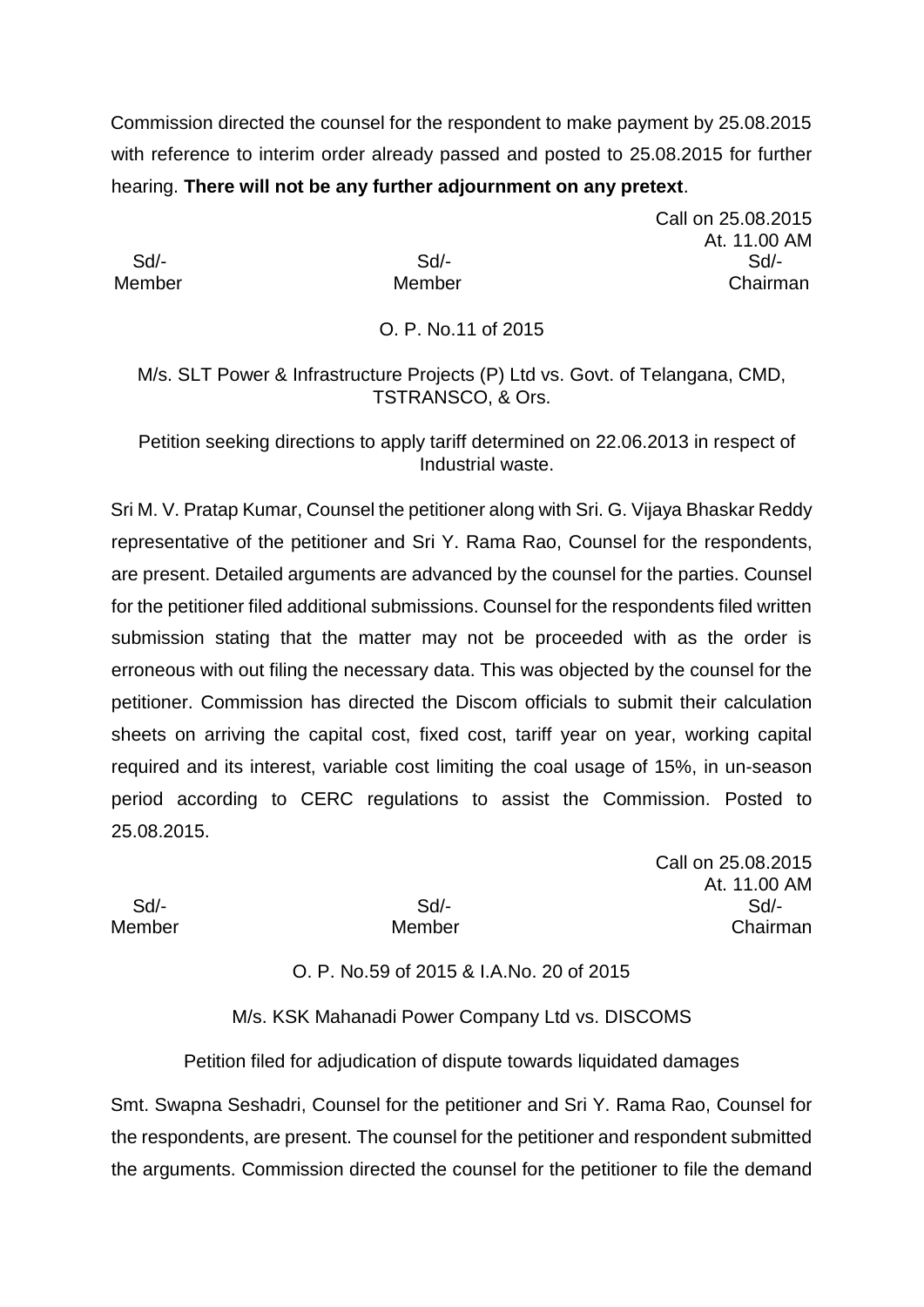Commission directed the counsel for the respondent to make payment by 25.08.2015 with reference to interim order already passed and posted to 25.08.2015 for further hearing. **There will not be any further adjournment on any pretext**.

Call on 25.08.2015 At. 11.00 AM Sd/- Sd/- Sd/- Member Member Chairman

# O. P. No.11 of 2015

M/s. SLT Power & Infrastructure Projects (P) Ltd vs. Govt. of Telangana, CMD, TSTRANSCO, & Ors.

Petition seeking directions to apply tariff determined on 22.06.2013 in respect of Industrial waste.

Sri M. V. Pratap Kumar, Counsel the petitioner along with Sri. G. Vijaya Bhaskar Reddy representative of the petitioner and Sri Y. Rama Rao, Counsel for the respondents, are present. Detailed arguments are advanced by the counsel for the parties. Counsel for the petitioner filed additional submissions. Counsel for the respondents filed written submission stating that the matter may not be proceeded with as the order is erroneous with out filing the necessary data. This was objected by the counsel for the petitioner. Commission has directed the Discom officials to submit their calculation sheets on arriving the capital cost, fixed cost, tariff year on year, working capital required and its interest, variable cost limiting the coal usage of 15%, in un-season period according to CERC regulations to assist the Commission. Posted to 25.08.2015.

Call on 25.08.2015 At. 11.00 AM Sd/- Sd/- Sd/- Member Member Chairman

### O. P. No.59 of 2015 & I.A.No. 20 of 2015

M/s. KSK Mahanadi Power Company Ltd vs. DISCOMS

Petition filed for adjudication of dispute towards liquidated damages

Smt. Swapna Seshadri, Counsel for the petitioner and Sri Y. Rama Rao, Counsel for the respondents, are present. The counsel for the petitioner and respondent submitted the arguments. Commission directed the counsel for the petitioner to file the demand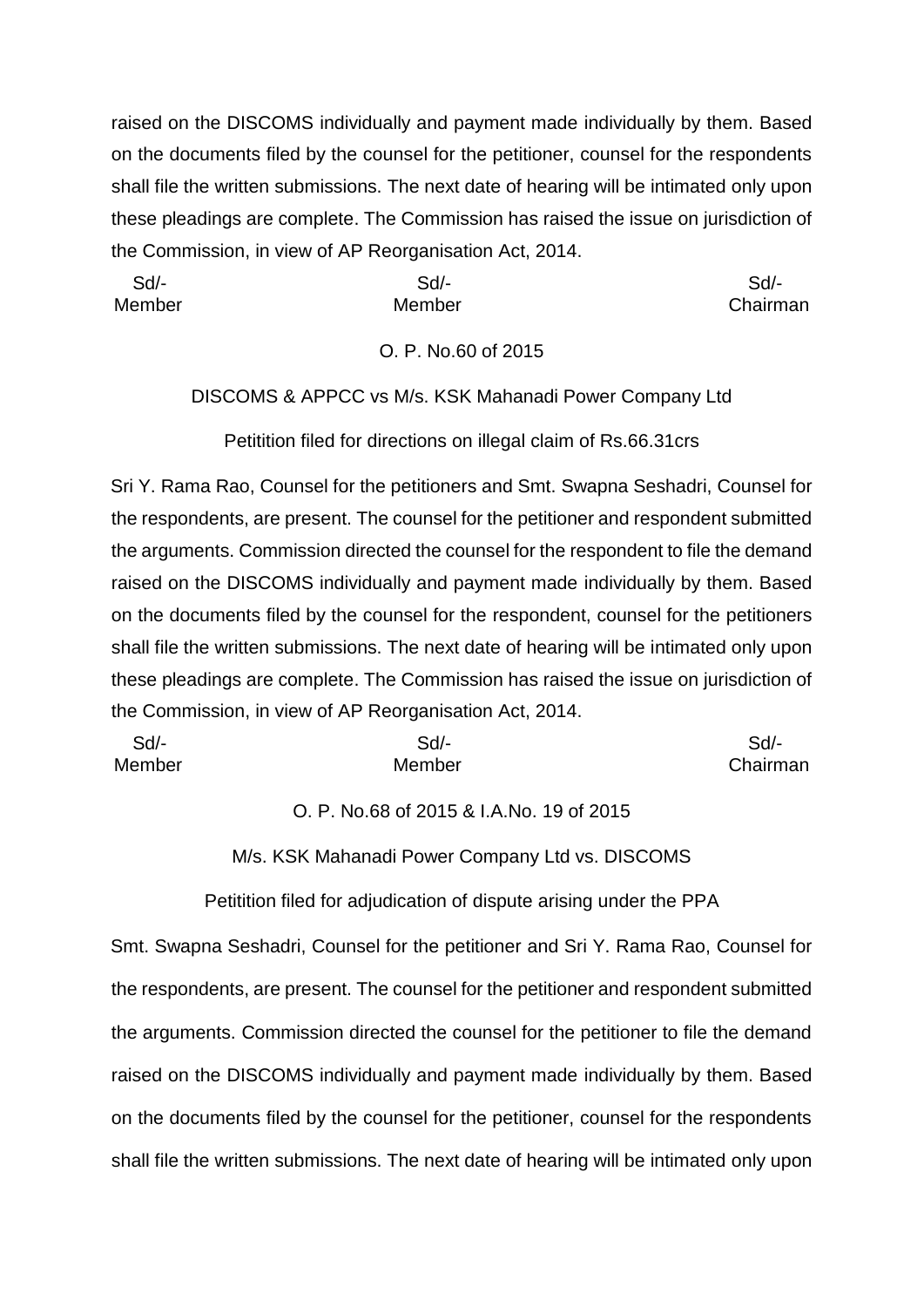raised on the DISCOMS individually and payment made individually by them. Based on the documents filed by the counsel for the petitioner, counsel for the respondents shall file the written submissions. The next date of hearing will be intimated only upon these pleadings are complete. The Commission has raised the issue on jurisdiction of the Commission, in view of AP Reorganisation Act, 2014.

 Sd/- Sd/- Sd/- Member Member Chairman

#### O. P. No.60 of 2015

#### DISCOMS & APPCC vs M/s. KSK Mahanadi Power Company Ltd

Petitition filed for directions on illegal claim of Rs.66.31crs

Sri Y. Rama Rao, Counsel for the petitioners and Smt. Swapna Seshadri, Counsel for the respondents, are present. The counsel for the petitioner and respondent submitted the arguments. Commission directed the counsel for the respondent to file the demand raised on the DISCOMS individually and payment made individually by them. Based on the documents filed by the counsel for the respondent, counsel for the petitioners shall file the written submissions. The next date of hearing will be intimated only upon these pleadings are complete. The Commission has raised the issue on jurisdiction of the Commission, in view of AP Reorganisation Act, 2014.

| Sd     | Sd/-   | Sd/-     |
|--------|--------|----------|
| Member | Member | Chairman |

O. P. No.68 of 2015 & I.A.No. 19 of 2015

M/s. KSK Mahanadi Power Company Ltd vs. DISCOMS

Petitition filed for adjudication of dispute arising under the PPA

Smt. Swapna Seshadri, Counsel for the petitioner and Sri Y. Rama Rao, Counsel for the respondents, are present. The counsel for the petitioner and respondent submitted the arguments. Commission directed the counsel for the petitioner to file the demand raised on the DISCOMS individually and payment made individually by them. Based on the documents filed by the counsel for the petitioner, counsel for the respondents shall file the written submissions. The next date of hearing will be intimated only upon